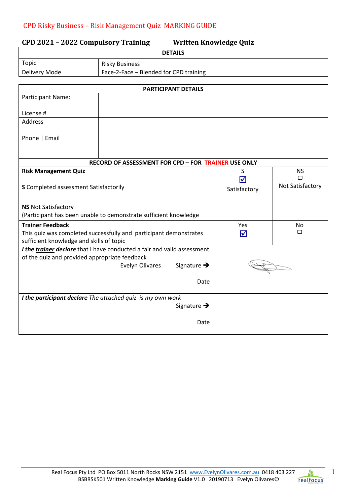| <b>DETAILS</b><br>Topic<br><b>Risky Business</b><br>Delivery Mode<br>Face-2-Face - Blended for CPD training<br><b>PARTICIPANT DETAILS</b><br>Participant Name:<br>License #<br><b>Address</b><br>Phone   Email<br>RECORD OF ASSESSMENT FOR CPD - FOR TRAINER USE ONLY<br><b>Risk Management Quiz</b><br>S<br><b>NS</b><br>□<br>$\blacktriangledown$<br>Not Satisfactory<br>S Completed assessment Satisfactorily<br>Satisfactory<br><b>NS Not Satisfactory</b><br>(Participant has been unable to demonstrate sufficient knowledge<br><b>Trainer Feedback</b><br>Yes<br>No<br>О<br>This quiz was completed successfully and participant demonstrates<br>$\blacktriangledown$<br>sufficient knowledge and skills of topic<br>I the trainer declare that I have conducted a fair and valid assessment<br>of the quiz and provided appropriate feedback<br>Signature $\rightarrow$<br><b>Evelyn Olivares</b><br>Date<br>I the participant declare The attached quiz is my own work<br>Signature $\rightarrow$<br>Date | CPD 2021 - 2022 Compulsory Training<br><b>Written Knowledge Quiz</b> |  |  |  |  |
|--------------------------------------------------------------------------------------------------------------------------------------------------------------------------------------------------------------------------------------------------------------------------------------------------------------------------------------------------------------------------------------------------------------------------------------------------------------------------------------------------------------------------------------------------------------------------------------------------------------------------------------------------------------------------------------------------------------------------------------------------------------------------------------------------------------------------------------------------------------------------------------------------------------------------------------------------------------------------------------------------------------------|----------------------------------------------------------------------|--|--|--|--|
|                                                                                                                                                                                                                                                                                                                                                                                                                                                                                                                                                                                                                                                                                                                                                                                                                                                                                                                                                                                                                    |                                                                      |  |  |  |  |
|                                                                                                                                                                                                                                                                                                                                                                                                                                                                                                                                                                                                                                                                                                                                                                                                                                                                                                                                                                                                                    |                                                                      |  |  |  |  |
|                                                                                                                                                                                                                                                                                                                                                                                                                                                                                                                                                                                                                                                                                                                                                                                                                                                                                                                                                                                                                    |                                                                      |  |  |  |  |
|                                                                                                                                                                                                                                                                                                                                                                                                                                                                                                                                                                                                                                                                                                                                                                                                                                                                                                                                                                                                                    |                                                                      |  |  |  |  |
|                                                                                                                                                                                                                                                                                                                                                                                                                                                                                                                                                                                                                                                                                                                                                                                                                                                                                                                                                                                                                    |                                                                      |  |  |  |  |
|                                                                                                                                                                                                                                                                                                                                                                                                                                                                                                                                                                                                                                                                                                                                                                                                                                                                                                                                                                                                                    |                                                                      |  |  |  |  |
|                                                                                                                                                                                                                                                                                                                                                                                                                                                                                                                                                                                                                                                                                                                                                                                                                                                                                                                                                                                                                    |                                                                      |  |  |  |  |
|                                                                                                                                                                                                                                                                                                                                                                                                                                                                                                                                                                                                                                                                                                                                                                                                                                                                                                                                                                                                                    |                                                                      |  |  |  |  |
|                                                                                                                                                                                                                                                                                                                                                                                                                                                                                                                                                                                                                                                                                                                                                                                                                                                                                                                                                                                                                    |                                                                      |  |  |  |  |
|                                                                                                                                                                                                                                                                                                                                                                                                                                                                                                                                                                                                                                                                                                                                                                                                                                                                                                                                                                                                                    |                                                                      |  |  |  |  |
|                                                                                                                                                                                                                                                                                                                                                                                                                                                                                                                                                                                                                                                                                                                                                                                                                                                                                                                                                                                                                    |                                                                      |  |  |  |  |
|                                                                                                                                                                                                                                                                                                                                                                                                                                                                                                                                                                                                                                                                                                                                                                                                                                                                                                                                                                                                                    |                                                                      |  |  |  |  |
|                                                                                                                                                                                                                                                                                                                                                                                                                                                                                                                                                                                                                                                                                                                                                                                                                                                                                                                                                                                                                    |                                                                      |  |  |  |  |
|                                                                                                                                                                                                                                                                                                                                                                                                                                                                                                                                                                                                                                                                                                                                                                                                                                                                                                                                                                                                                    |                                                                      |  |  |  |  |
|                                                                                                                                                                                                                                                                                                                                                                                                                                                                                                                                                                                                                                                                                                                                                                                                                                                                                                                                                                                                                    |                                                                      |  |  |  |  |
|                                                                                                                                                                                                                                                                                                                                                                                                                                                                                                                                                                                                                                                                                                                                                                                                                                                                                                                                                                                                                    |                                                                      |  |  |  |  |
|                                                                                                                                                                                                                                                                                                                                                                                                                                                                                                                                                                                                                                                                                                                                                                                                                                                                                                                                                                                                                    |                                                                      |  |  |  |  |
|                                                                                                                                                                                                                                                                                                                                                                                                                                                                                                                                                                                                                                                                                                                                                                                                                                                                                                                                                                                                                    |                                                                      |  |  |  |  |
|                                                                                                                                                                                                                                                                                                                                                                                                                                                                                                                                                                                                                                                                                                                                                                                                                                                                                                                                                                                                                    |                                                                      |  |  |  |  |
|                                                                                                                                                                                                                                                                                                                                                                                                                                                                                                                                                                                                                                                                                                                                                                                                                                                                                                                                                                                                                    |                                                                      |  |  |  |  |
|                                                                                                                                                                                                                                                                                                                                                                                                                                                                                                                                                                                                                                                                                                                                                                                                                                                                                                                                                                                                                    |                                                                      |  |  |  |  |
|                                                                                                                                                                                                                                                                                                                                                                                                                                                                                                                                                                                                                                                                                                                                                                                                                                                                                                                                                                                                                    |                                                                      |  |  |  |  |
|                                                                                                                                                                                                                                                                                                                                                                                                                                                                                                                                                                                                                                                                                                                                                                                                                                                                                                                                                                                                                    |                                                                      |  |  |  |  |
|                                                                                                                                                                                                                                                                                                                                                                                                                                                                                                                                                                                                                                                                                                                                                                                                                                                                                                                                                                                                                    |                                                                      |  |  |  |  |
|                                                                                                                                                                                                                                                                                                                                                                                                                                                                                                                                                                                                                                                                                                                                                                                                                                                                                                                                                                                                                    |                                                                      |  |  |  |  |
|                                                                                                                                                                                                                                                                                                                                                                                                                                                                                                                                                                                                                                                                                                                                                                                                                                                                                                                                                                                                                    |                                                                      |  |  |  |  |
|                                                                                                                                                                                                                                                                                                                                                                                                                                                                                                                                                                                                                                                                                                                                                                                                                                                                                                                                                                                                                    |                                                                      |  |  |  |  |
|                                                                                                                                                                                                                                                                                                                                                                                                                                                                                                                                                                                                                                                                                                                                                                                                                                                                                                                                                                                                                    |                                                                      |  |  |  |  |
|                                                                                                                                                                                                                                                                                                                                                                                                                                                                                                                                                                                                                                                                                                                                                                                                                                                                                                                                                                                                                    |                                                                      |  |  |  |  |
|                                                                                                                                                                                                                                                                                                                                                                                                                                                                                                                                                                                                                                                                                                                                                                                                                                                                                                                                                                                                                    |                                                                      |  |  |  |  |
|                                                                                                                                                                                                                                                                                                                                                                                                                                                                                                                                                                                                                                                                                                                                                                                                                                                                                                                                                                                                                    |                                                                      |  |  |  |  |

1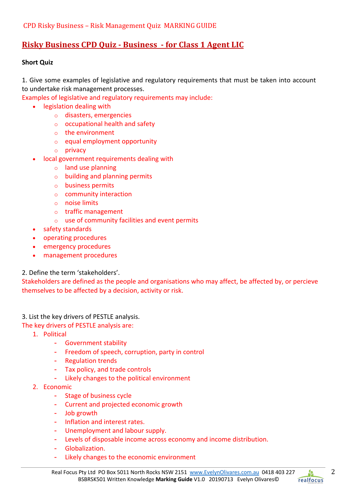# **Risky Business CPD Quiz - Business - for Class 1 Agent LIC**

### **Short Quiz**

1. Give some examples of legislative and regulatory requirements that must be taken into account to undertake risk management processes.

Examples of legislative and regulatory requirements may include:

- legislation dealing with
	- o disasters, emergencies
	- $\circ$  occupational health and safety
	- o the environment
	- o equal employment opportunity
	- o privacy
- local government requirements dealing with
	- o land use planning
	- o building and planning permits
	- o business permits
	- o community interaction
	- o noise limits
	- o traffic management
	- o use of community facilities and event permits
- safety standards
- operating procedures
- emergency procedures
- management procedures

2. Define the term 'stakeholders'.

Stakeholders are defined as the people and organisations who may affect, be affected by, or percieve themselves to be affected by a decision, activity or risk.

3. List the key drivers of PESTLE analysis.

The key drivers of PESTLE analysis are:

- 1. Political
	- Government stability
	- Freedom of speech, corruption, party in control
	- Regulation trends
	- Tax policy, and trade controls
	- Likely changes to the political environment
- 2. Economic
	- Stage of business cycle
	- Current and projected economic growth
	- Job growth
	- Inflation and interest rates.
	- Unemployment and labour supply.
	- Levels of disposable income across economy and income distribution.
	- Globalization.
	- Likely changes to the economic environment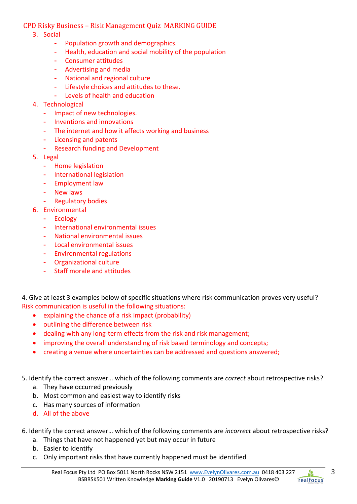- 3. Social
	- Population growth and demographics.
	- Health, education and social mobility of the population
	- Consumer attitudes
	- Advertising and media
	- National and regional culture
	- Lifestyle choices and attitudes to these.
	- Levels of health and education
- 4. Technological
	- Impact of new technologies.
	- Inventions and innovations
	- The internet and how it affects working and business
	- Licensing and patents
	- Research funding and Development
- 5. Legal
	- Home legislation
	- International legislation
	- Employment law
	- New laws
	- Regulatory bodies
- 6. Environmental
	- Ecology
	- International environmental issues
	- National environmental issues
	- Local environmental issues
	- Environmental regulations
	- Organizational culture
	- Staff morale and attitudes

4. Give at least 3 examples below of specific situations where risk communication proves very useful? Risk communication is useful in the following situations:

- explaining the chance of a risk impact (probability)
- outlining the difference between risk
- dealing with any long-term effects from the risk and risk management;
- improving the overall understanding of risk based terminology and concepts;
- creating a venue where uncertainties can be addressed and questions answered;

5. Identify the correct answer… which of the following comments are *correct* about retrospective risks?

- a. They have occurred previously
- b. Most common and easiest way to identify risks
- c. Has many sources of information
- d. All of the above
- 6. Identify the correct answer… which of the following comments are *incorrect* about retrospective risks?
	- a. Things that have not happened yet but may occur in future
	- b. Easier to identify
	- c. Only important risks that have currently happened must be identified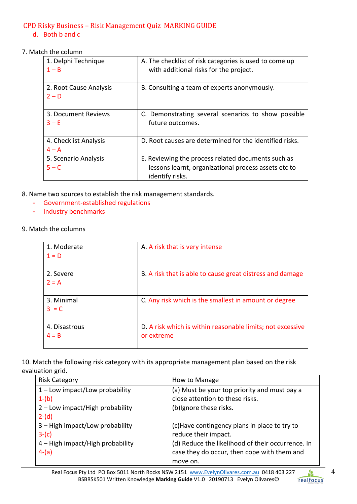### d. Both b and c

7. Match the column

| 1. Delphi Technique<br>$1 - B$   | A. The checklist of risk categories is used to come up<br>with additional risks for the project.                              |
|----------------------------------|-------------------------------------------------------------------------------------------------------------------------------|
| 2. Root Cause Analysis<br>$2-D$  | B. Consulting a team of experts anonymously.                                                                                  |
| 3. Document Reviews<br>$3-E$     | C. Demonstrating several scenarios to show possible<br>future outcomes.                                                       |
| 4. Checklist Analysis<br>$4 - A$ | D. Root causes are determined for the identified risks.                                                                       |
| 5. Scenario Analysis<br>$5 - C$  | E. Reviewing the process related documents such as<br>lessons learnt, organizational process assets etc to<br>identify risks. |

8. Name two sources to establish the risk management standards.

- Government-established regulations
- Industry benchmarks
- 9. Match the columns

| 1. Moderate<br>$1 = D$   | A. A risk that is very intense                                           |
|--------------------------|--------------------------------------------------------------------------|
| 2. Severe<br>$2 = A$     | B. A risk that is able to cause great distress and damage                |
| 3. Minimal<br>$3 = C$    | C. Any risk which is the smallest in amount or degree                    |
| 4. Disastrous<br>$4 = B$ | D. A risk which is within reasonable limits; not excessive<br>or extreme |

10. Match the following risk category with its appropriate management plan based on the risk evaluation grid.

| <b>Risk Category</b>             | How to Manage                                     |
|----------------------------------|---------------------------------------------------|
| $1$ – Low impact/Low probability | (a) Must be your top priority and must pay a      |
| $1-(b)$                          | close attention to these risks.                   |
| 2 - Low impact/High probability  | (b) Ignore these risks.                           |
| $2-(d)$                          |                                                   |
| 3 - High impact/Low probability  | (c) Have contingency plans in place to try to     |
| $3-(c)$                          | reduce their impact.                              |
| 4 - High impact/High probability | (d) Reduce the likelihood of their occurrence. In |
| $4-(a)$                          | case they do occur, then cope with them and       |
|                                  | move on.                                          |

A.